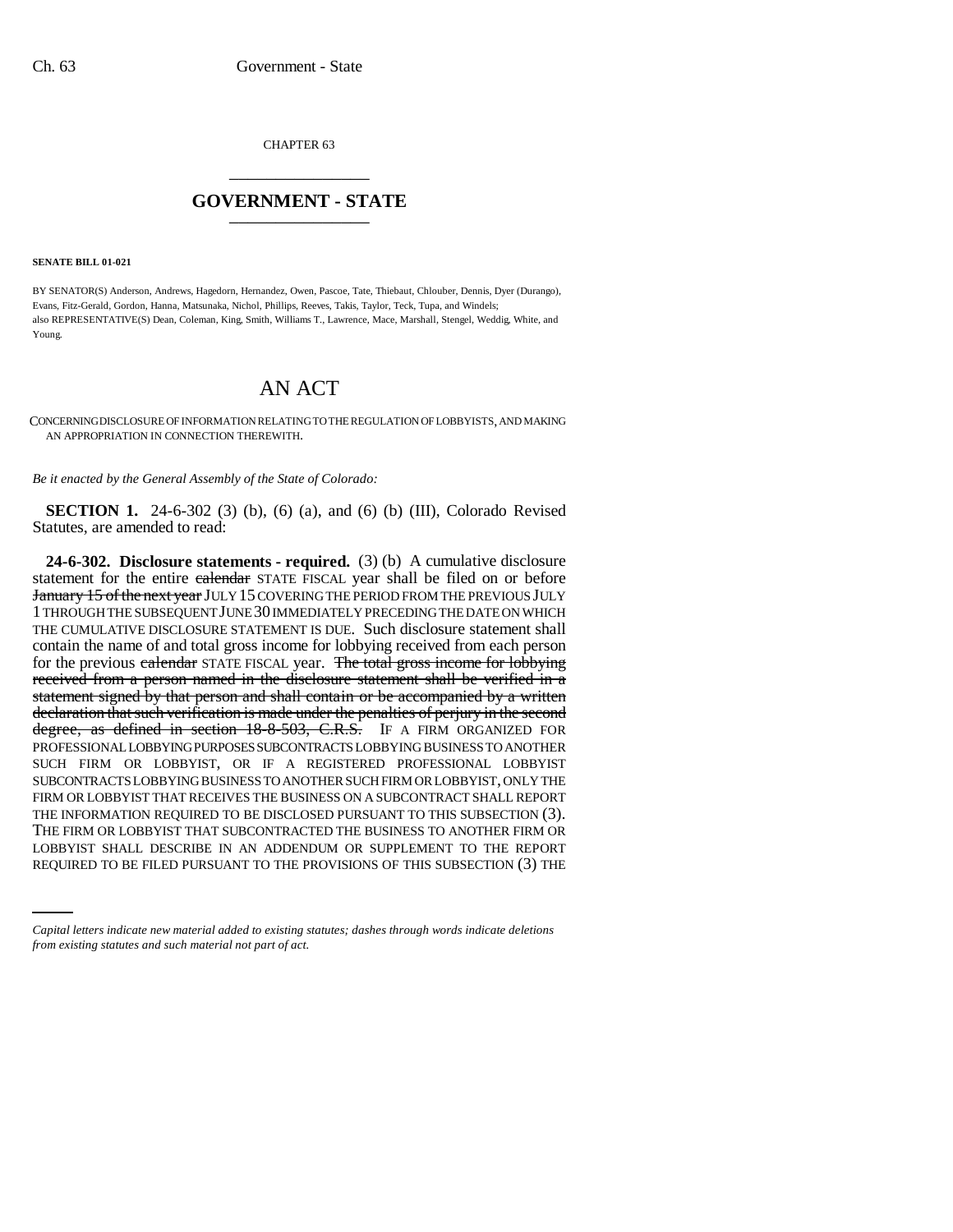CHAPTER 63 \_\_\_\_\_\_\_\_\_\_\_\_\_\_\_

## **GOVERNMENT - STATE** \_\_\_\_\_\_\_\_\_\_\_\_\_\_\_

**SENATE BILL 01-021**

BY SENATOR(S) Anderson, Andrews, Hagedorn, Hernandez, Owen, Pascoe, Tate, Thiebaut, Chlouber, Dennis, Dyer (Durango), Evans, Fitz-Gerald, Gordon, Hanna, Matsunaka, Nichol, Phillips, Reeves, Takis, Taylor, Teck, Tupa, and Windels; also REPRESENTATIVE(S) Dean, Coleman, King, Smith, Williams T., Lawrence, Mace, Marshall, Stengel, Weddig, White, and Young.

# AN ACT

CONCERNING DISCLOSURE OF INFORMATION RELATING TO THE REGULATION OF LOBBYISTS, AND MAKING AN APPROPRIATION IN CONNECTION THEREWITH.

*Be it enacted by the General Assembly of the State of Colorado:*

**SECTION 1.** 24-6-302 (3) (b), (6) (a), and (6) (b) (III), Colorado Revised Statutes, are amended to read:

THE FIRM OR LOBBYIST THAT SUBCONTRACTED THE BUSINESS TO ANOTHER FIRM OR **24-6-302. Disclosure statements - required.** (3) (b) A cumulative disclosure statement for the entire ealendar STATE FISCAL year shall be filed on or before January 15 of the next year JULY 15 COVERING THE PERIOD FROM THE PREVIOUS JULY 1 THROUGH THE SUBSEQUENT JUNE 30 IMMEDIATELY PRECEDING THE DATE ON WHICH THE CUMULATIVE DISCLOSURE STATEMENT IS DUE. Such disclosure statement shall contain the name of and total gross income for lobbying received from each person for the previous ealendar STATE FISCAL year. The total gross income for lobbying received from a person named in the disclosure statement shall be verified in a statement signed by that person and shall contain or be accompanied by a written declaration that such verification is made under the penalties of perjury in the second degree, as defined in section 18-8-503, C.R.S. IF A FIRM ORGANIZED FOR PROFESSIONAL LOBBYING PURPOSES SUBCONTRACTS LOBBYING BUSINESS TO ANOTHER SUCH FIRM OR LOBBYIST, OR IF A REGISTERED PROFESSIONAL LOBBYIST SUBCONTRACTS LOBBYING BUSINESS TO ANOTHER SUCH FIRM OR LOBBYIST, ONLY THE FIRM OR LOBBYIST THAT RECEIVES THE BUSINESS ON A SUBCONTRACT SHALL REPORT THE INFORMATION REQUIRED TO BE DISCLOSED PURSUANT TO THIS SUBSECTION (3). LOBBYIST SHALL DESCRIBE IN AN ADDENDUM OR SUPPLEMENT TO THE REPORT REQUIRED TO BE FILED PURSUANT TO THE PROVISIONS OF THIS SUBSECTION (3) THE

*Capital letters indicate new material added to existing statutes; dashes through words indicate deletions from existing statutes and such material not part of act.*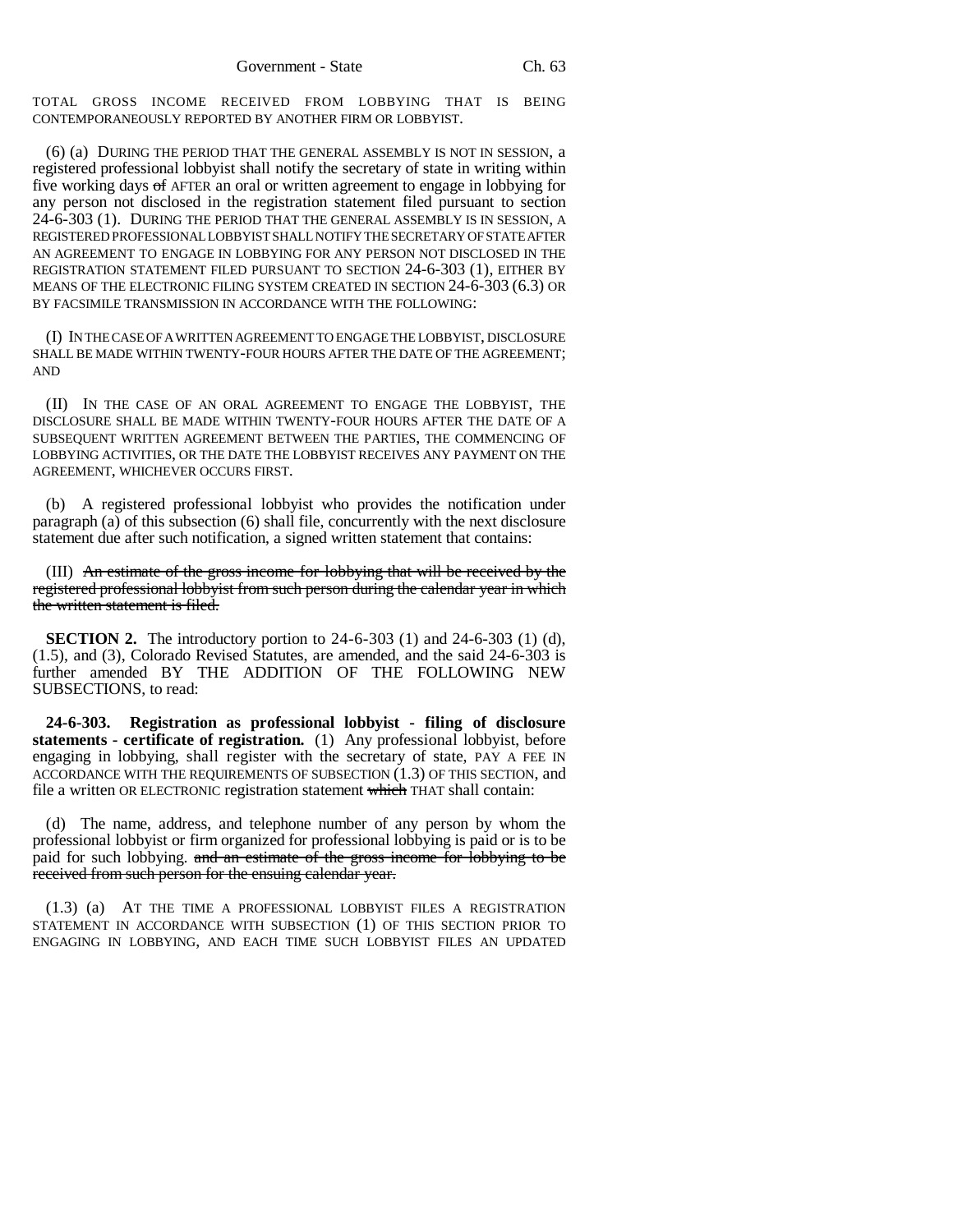TOTAL GROSS INCOME RECEIVED FROM LOBBYING THAT IS BEING CONTEMPORANEOUSLY REPORTED BY ANOTHER FIRM OR LOBBYIST.

(6) (a) DURING THE PERIOD THAT THE GENERAL ASSEMBLY IS NOT IN SESSION, a registered professional lobbyist shall notify the secretary of state in writing within five working days of AFTER an oral or written agreement to engage in lobbying for any person not disclosed in the registration statement filed pursuant to section 24-6-303 (1). DURING THE PERIOD THAT THE GENERAL ASSEMBLY IS IN SESSION, A REGISTERED PROFESSIONAL LOBBYIST SHALL NOTIFY THE SECRETARY OF STATE AFTER AN AGREEMENT TO ENGAGE IN LOBBYING FOR ANY PERSON NOT DISCLOSED IN THE REGISTRATION STATEMENT FILED PURSUANT TO SECTION 24-6-303 (1), EITHER BY MEANS OF THE ELECTRONIC FILING SYSTEM CREATED IN SECTION 24-6-303 (6.3) OR BY FACSIMILE TRANSMISSION IN ACCORDANCE WITH THE FOLLOWING:

(I) IN THE CASE OF A WRITTEN AGREEMENT TO ENGAGE THE LOBBYIST, DISCLOSURE SHALL BE MADE WITHIN TWENTY-FOUR HOURS AFTER THE DATE OF THE AGREEMENT; AND

(II) IN THE CASE OF AN ORAL AGREEMENT TO ENGAGE THE LOBBYIST, THE DISCLOSURE SHALL BE MADE WITHIN TWENTY-FOUR HOURS AFTER THE DATE OF A SUBSEQUENT WRITTEN AGREEMENT BETWEEN THE PARTIES, THE COMMENCING OF LOBBYING ACTIVITIES, OR THE DATE THE LOBBYIST RECEIVES ANY PAYMENT ON THE AGREEMENT, WHICHEVER OCCURS FIRST.

(b) A registered professional lobbyist who provides the notification under paragraph (a) of this subsection (6) shall file, concurrently with the next disclosure statement due after such notification, a signed written statement that contains:

(III) An estimate of the gross income for lobbying that will be received by the registered professional lobbyist from such person during the calendar year in which the written statement is filed.

**SECTION 2.** The introductory portion to 24-6-303 (1) and 24-6-303 (1) (d), (1.5), and (3), Colorado Revised Statutes, are amended, and the said 24-6-303 is further amended BY THE ADDITION OF THE FOLLOWING NEW SUBSECTIONS, to read:

**24-6-303. Registration as professional lobbyist - filing of disclosure statements - certificate of registration.** (1) Any professional lobbyist, before engaging in lobbying, shall register with the secretary of state, PAY A FEE IN ACCORDANCE WITH THE REQUIREMENTS OF SUBSECTION (1.3) OF THIS SECTION, and file a written OR ELECTRONIC registration statement which THAT shall contain:

(d) The name, address, and telephone number of any person by whom the professional lobbyist or firm organized for professional lobbying is paid or is to be paid for such lobbying. and an estimate of the gross income for lobbying to be received from such person for the ensuing calendar year.

(1.3) (a) AT THE TIME A PROFESSIONAL LOBBYIST FILES A REGISTRATION STATEMENT IN ACCORDANCE WITH SUBSECTION (1) OF THIS SECTION PRIOR TO ENGAGING IN LOBBYING, AND EACH TIME SUCH LOBBYIST FILES AN UPDATED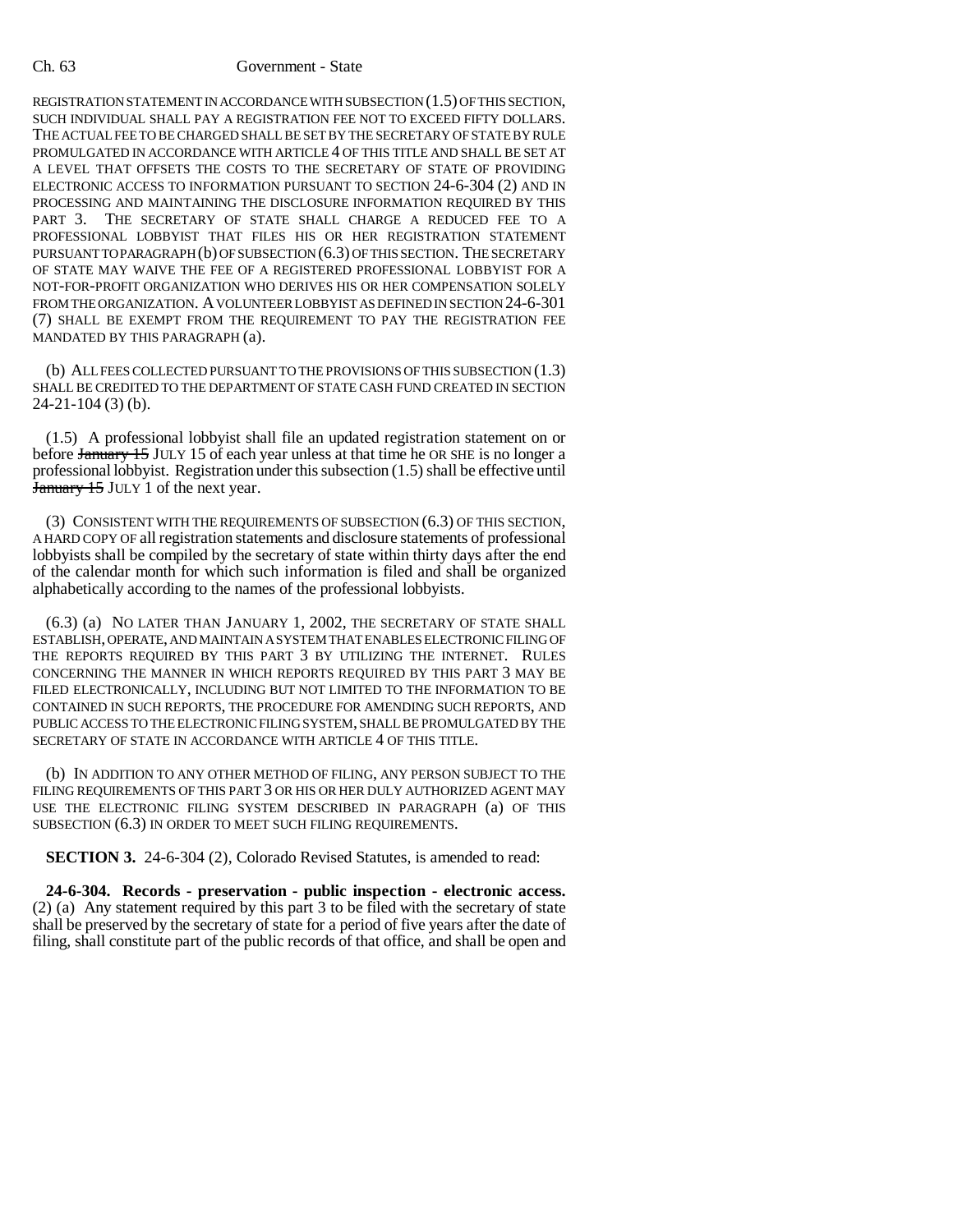#### Ch. 63 Government - State

REGISTRATION STATEMENT IN ACCORDANCE WITH SUBSECTION (1.5) OF THIS SECTION, SUCH INDIVIDUAL SHALL PAY A REGISTRATION FEE NOT TO EXCEED FIFTY DOLLARS. THE ACTUAL FEE TO BE CHARGED SHALL BE SET BY THE SECRETARY OF STATE BY RULE PROMULGATED IN ACCORDANCE WITH ARTICLE 4 OF THIS TITLE AND SHALL BE SET AT A LEVEL THAT OFFSETS THE COSTS TO THE SECRETARY OF STATE OF PROVIDING ELECTRONIC ACCESS TO INFORMATION PURSUANT TO SECTION 24-6-304 (2) AND IN PROCESSING AND MAINTAINING THE DISCLOSURE INFORMATION REQUIRED BY THIS PART 3. THE SECRETARY OF STATE SHALL CHARGE A REDUCED FEE TO A PROFESSIONAL LOBBYIST THAT FILES HIS OR HER REGISTRATION STATEMENT PURSUANT TO PARAGRAPH (b) OF SUBSECTION (6.3) OF THIS SECTION. THE SECRETARY OF STATE MAY WAIVE THE FEE OF A REGISTERED PROFESSIONAL LOBBYIST FOR A NOT-FOR-PROFIT ORGANIZATION WHO DERIVES HIS OR HER COMPENSATION SOLELY FROM THE ORGANIZATION. A VOLUNTEER LOBBYIST AS DEFINED IN SECTION 24-6-301 (7) SHALL BE EXEMPT FROM THE REQUIREMENT TO PAY THE REGISTRATION FEE MANDATED BY THIS PARAGRAPH (a).

(b) ALL FEES COLLECTED PURSUANT TO THE PROVISIONS OF THIS SUBSECTION (1.3) SHALL BE CREDITED TO THE DEPARTMENT OF STATE CASH FUND CREATED IN SECTION 24-21-104 (3) (b).

(1.5) A professional lobbyist shall file an updated registration statement on or before January 15 JULY 15 of each year unless at that time he OR SHE is no longer a professional lobbyist. Registration under this subsection (1.5) shall be effective until **January 15 JULY 1 of the next year.** 

(3) CONSISTENT WITH THE REQUIREMENTS OF SUBSECTION (6.3) OF THIS SECTION, A HARD COPY OF all registration statements and disclosure statements of professional lobbyists shall be compiled by the secretary of state within thirty days after the end of the calendar month for which such information is filed and shall be organized alphabetically according to the names of the professional lobbyists.

(6.3) (a) NO LATER THAN JANUARY 1, 2002, THE SECRETARY OF STATE SHALL ESTABLISH, OPERATE, AND MAINTAIN A SYSTEM THAT ENABLES ELECTRONIC FILING OF THE REPORTS REQUIRED BY THIS PART 3 BY UTILIZING THE INTERNET. RULES CONCERNING THE MANNER IN WHICH REPORTS REQUIRED BY THIS PART 3 MAY BE FILED ELECTRONICALLY, INCLUDING BUT NOT LIMITED TO THE INFORMATION TO BE CONTAINED IN SUCH REPORTS, THE PROCEDURE FOR AMENDING SUCH REPORTS, AND PUBLIC ACCESS TO THE ELECTRONIC FILING SYSTEM, SHALL BE PROMULGATED BY THE SECRETARY OF STATE IN ACCORDANCE WITH ARTICLE 4 OF THIS TITLE.

(b) IN ADDITION TO ANY OTHER METHOD OF FILING, ANY PERSON SUBJECT TO THE FILING REQUIREMENTS OF THIS PART 3 OR HIS OR HER DULY AUTHORIZED AGENT MAY USE THE ELECTRONIC FILING SYSTEM DESCRIBED IN PARAGRAPH (a) OF THIS SUBSECTION (6.3) IN ORDER TO MEET SUCH FILING REQUIREMENTS.

**SECTION 3.** 24-6-304 (2), Colorado Revised Statutes, is amended to read:

**24-6-304. Records - preservation - public inspection - electronic access.** (2) (a) Any statement required by this part 3 to be filed with the secretary of state shall be preserved by the secretary of state for a period of five years after the date of filing, shall constitute part of the public records of that office, and shall be open and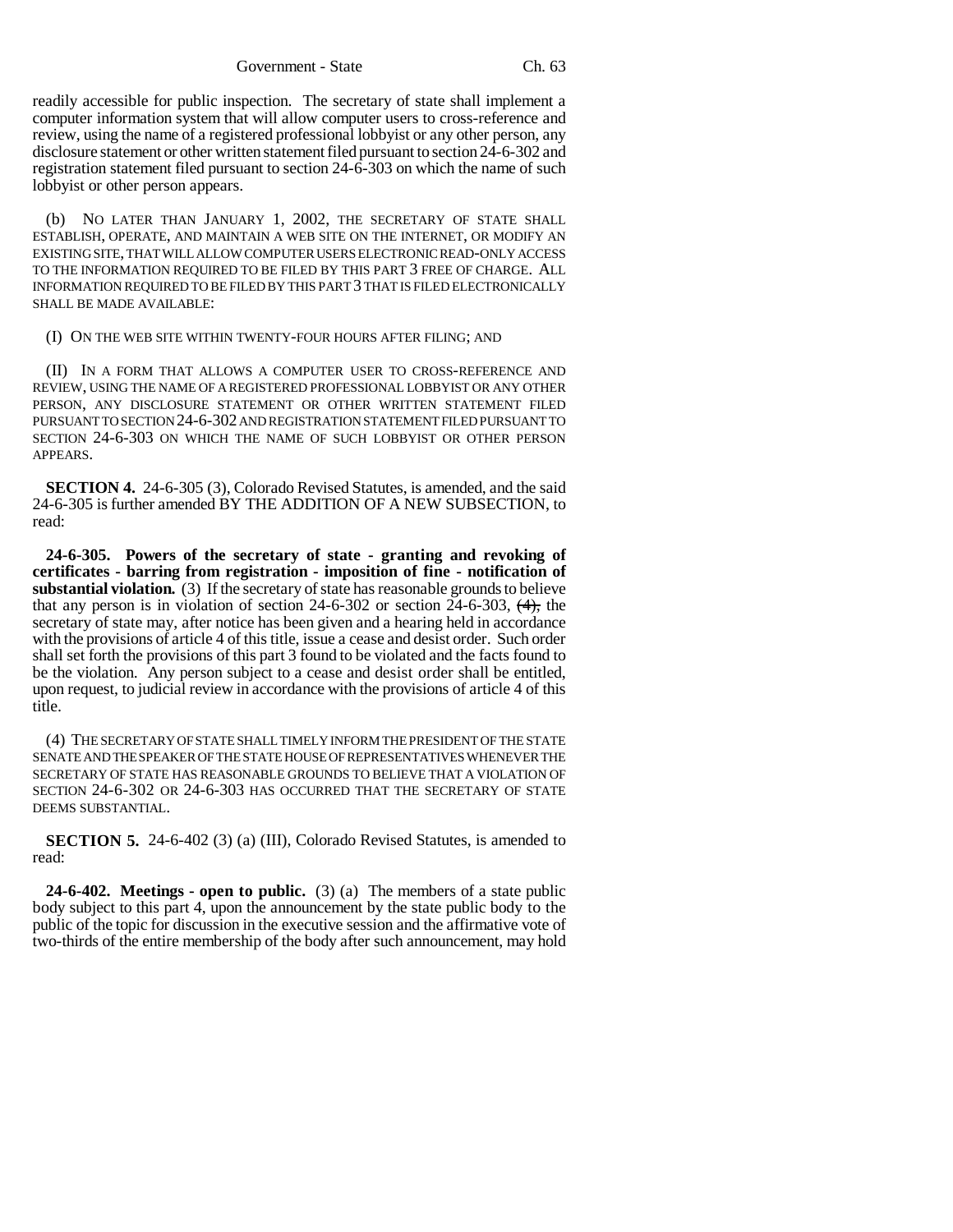Government - State Ch. 63

readily accessible for public inspection. The secretary of state shall implement a computer information system that will allow computer users to cross-reference and review, using the name of a registered professional lobbyist or any other person, any disclosure statement or other written statement filed pursuant to section 24-6-302 and registration statement filed pursuant to section 24-6-303 on which the name of such lobbyist or other person appears.

(b) NO LATER THAN JANUARY 1, 2002, THE SECRETARY OF STATE SHALL ESTABLISH, OPERATE, AND MAINTAIN A WEB SITE ON THE INTERNET, OR MODIFY AN EXISTING SITE, THAT WILL ALLOW COMPUTER USERS ELECTRONIC READ-ONLY ACCESS TO THE INFORMATION REQUIRED TO BE FILED BY THIS PART 3 FREE OF CHARGE. ALL INFORMATION REQUIRED TO BE FILED BY THIS PART 3 THAT IS FILED ELECTRONICALLY SHALL BE MADE AVAILABLE:

### (I) ON THE WEB SITE WITHIN TWENTY-FOUR HOURS AFTER FILING; AND

(II) IN A FORM THAT ALLOWS A COMPUTER USER TO CROSS-REFERENCE AND REVIEW, USING THE NAME OF A REGISTERED PROFESSIONAL LOBBYIST OR ANY OTHER PERSON, ANY DISCLOSURE STATEMENT OR OTHER WRITTEN STATEMENT FILED PURSUANT TO SECTION 24-6-302 AND REGISTRATION STATEMENT FILED PURSUANT TO SECTION 24-6-303 ON WHICH THE NAME OF SUCH LOBBYIST OR OTHER PERSON APPEARS.

**SECTION 4.** 24-6-305 (3), Colorado Revised Statutes, is amended, and the said 24-6-305 is further amended BY THE ADDITION OF A NEW SUBSECTION, to read:

**24-6-305. Powers of the secretary of state - granting and revoking of certificates - barring from registration - imposition of fine - notification of** substantial violation. (3) If the secretary of state has reasonable grounds to believe that any person is in violation of section  $24-6-302$  or section  $24-6-303$ ,  $(4)$ , the secretary of state may, after notice has been given and a hearing held in accordance with the provisions of article 4 of this title, issue a cease and desist order. Such order shall set forth the provisions of this part 3 found to be violated and the facts found to be the violation. Any person subject to a cease and desist order shall be entitled, upon request, to judicial review in accordance with the provisions of article 4 of this title.

(4) THE SECRETARY OF STATE SHALL TIMELY INFORM THE PRESIDENT OF THE STATE SENATE AND THE SPEAKER OF THE STATE HOUSE OF REPRESENTATIVES WHENEVER THE SECRETARY OF STATE HAS REASONABLE GROUNDS TO BELIEVE THAT A VIOLATION OF SECTION 24-6-302 OR 24-6-303 HAS OCCURRED THAT THE SECRETARY OF STATE DEEMS SUBSTANTIAL.

**SECTION 5.** 24-6-402 (3) (a) (III), Colorado Revised Statutes, is amended to read:

**24-6-402. Meetings - open to public.** (3) (a) The members of a state public body subject to this part 4, upon the announcement by the state public body to the public of the topic for discussion in the executive session and the affirmative vote of two-thirds of the entire membership of the body after such announcement, may hold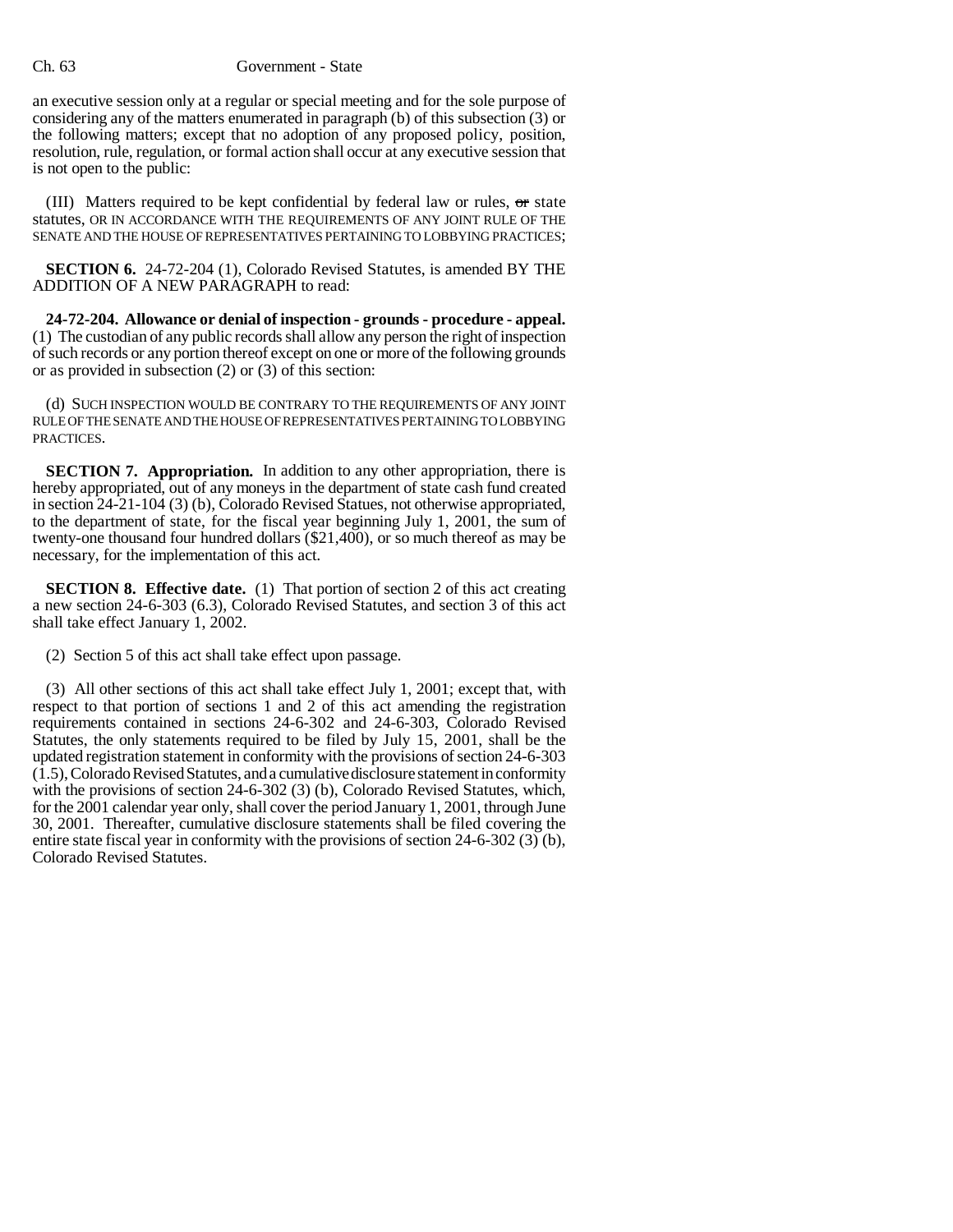#### Ch. 63 Government - State

an executive session only at a regular or special meeting and for the sole purpose of considering any of the matters enumerated in paragraph (b) of this subsection (3) or the following matters; except that no adoption of any proposed policy, position, resolution, rule, regulation, or formal action shall occur at any executive session that is not open to the public:

(III) Matters required to be kept confidential by federal law or rules,  $\sigma$  state statutes, OR IN ACCORDANCE WITH THE REQUIREMENTS OF ANY JOINT RULE OF THE SENATE AND THE HOUSE OF REPRESENTATIVES PERTAINING TO LOBBYING PRACTICES;

**SECTION 6.** 24-72-204 (1), Colorado Revised Statutes, is amended BY THE ADDITION OF A NEW PARAGRAPH to read:

**24-72-204. Allowance or denial of inspection - grounds - procedure - appeal.** (1) The custodian of any public records shall allow any person the right of inspection of such records or any portion thereof except on one or more of the following grounds or as provided in subsection (2) or (3) of this section:

(d) SUCH INSPECTION WOULD BE CONTRARY TO THE REQUIREMENTS OF ANY JOINT RULE OF THE SENATE AND THE HOUSE OF REPRESENTATIVES PERTAINING TO LOBBYING PRACTICES.

**SECTION 7. Appropriation.** In addition to any other appropriation, there is hereby appropriated, out of any moneys in the department of state cash fund created in section 24-21-104 (3) (b), Colorado Revised Statues, not otherwise appropriated, to the department of state, for the fiscal year beginning July 1, 2001, the sum of twenty-one thousand four hundred dollars (\$21,400), or so much thereof as may be necessary, for the implementation of this act.

**SECTION 8. Effective date.** (1) That portion of section 2 of this act creating a new section 24-6-303 (6.3), Colorado Revised Statutes, and section 3 of this act shall take effect January 1, 2002.

(2) Section 5 of this act shall take effect upon passage.

(3) All other sections of this act shall take effect July 1, 2001; except that, with respect to that portion of sections 1 and 2 of this act amending the registration requirements contained in sections 24-6-302 and 24-6-303, Colorado Revised Statutes, the only statements required to be filed by July 15, 2001, shall be the updated registration statement in conformity with the provisions of section 24-6-303 (1.5), Colorado Revised Statutes, and a cumulative disclosure statement in conformity with the provisions of section 24-6-302 (3) (b), Colorado Revised Statutes, which, for the 2001 calendar year only, shall cover the period January 1, 2001, through June 30, 2001. Thereafter, cumulative disclosure statements shall be filed covering the entire state fiscal year in conformity with the provisions of section 24-6-302 (3) (b), Colorado Revised Statutes.